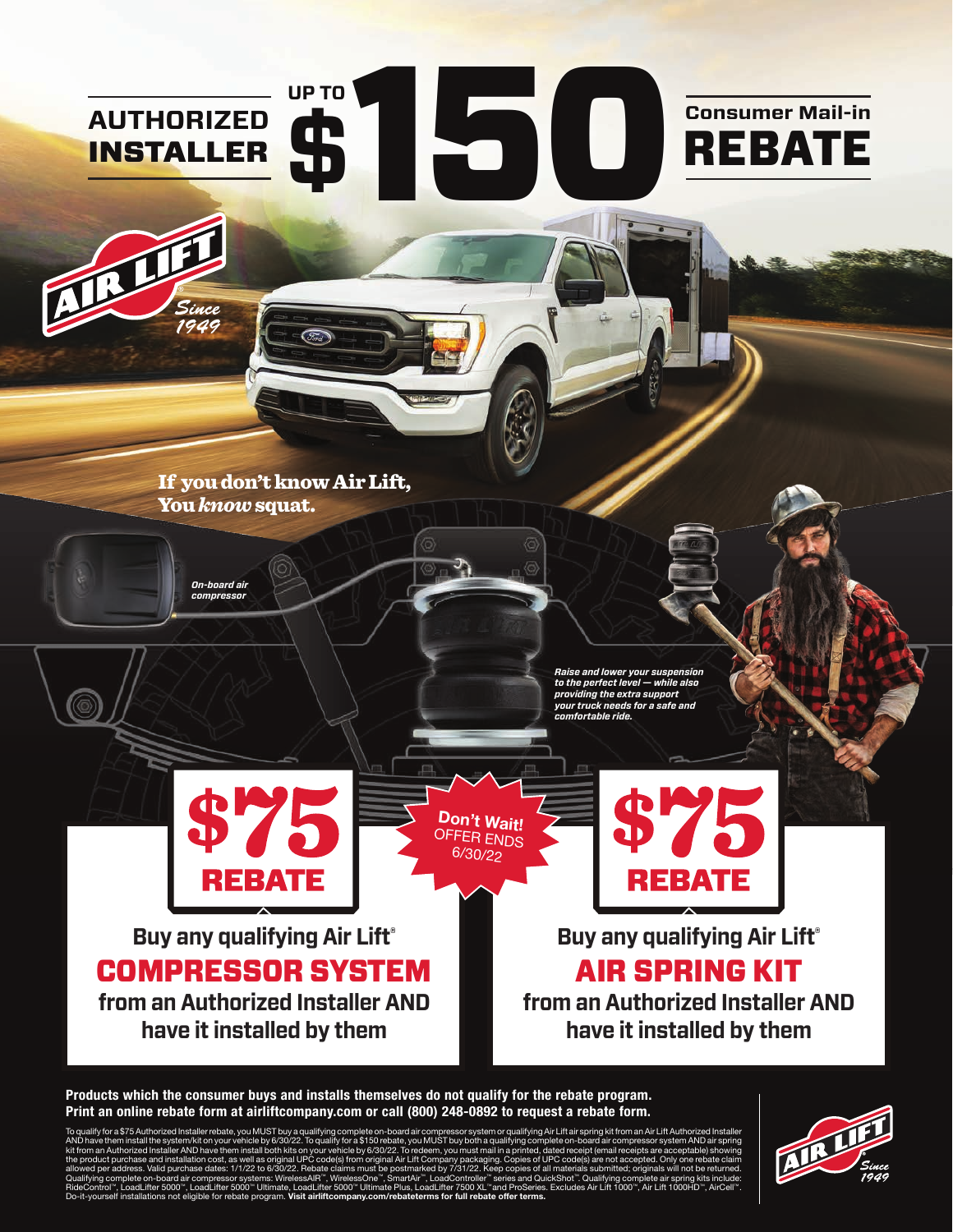### **AUTHORIZED EXAMPLE 150 CONSUMER MAIL-IN** REBATE **\$ UP TO**

If you don't know Air Lift, You *know* squat.

> *On-board air compressor*

ince 1949

> *Raise and lower your suspension to the perfect level — while also providing the extra support your truck needs for a safe and comfortable ride.*

**Buy any qualifying Air Lift®** COMPRESSOR SYSTEM **from an Authorized Installer AND have it installed by them**

**\$75**

**Buy any qualifying Air Lift®** AIR SPRING KIT **from an Authorized Installer AND have it installed by them**

### **Products which the consumer buys and installs themselves do not qualify for the rebate program. Print an online rebate form at airliftcompany.com or call (800) 248-0892 to request a rebate form.**

To qualify for a \$75 Authorized Installer rebate, you MUST buy a qualifying complete on-board air compressor system or qualifying Air Lift air spring kit from an Air Lift Authorized Installer<br>AND have them install the syst

**Don't Wait!**  OFFER ENDS 6/30/22